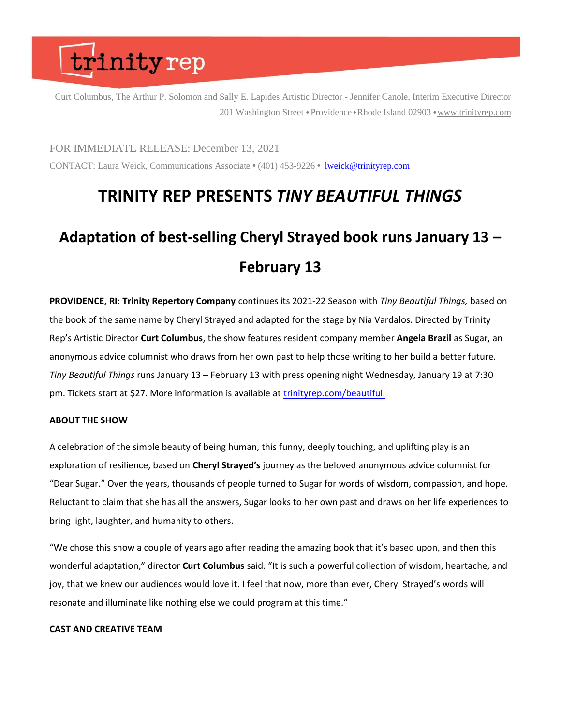Curt Columbus, The Arthur P. Solomon and Sally E. Lapides Artistic Director - Jennifer Canole, Interim Executive Director 201 Washington Street • Providence • Rhode Island 02903 • [www.trinityrep.com](http://www.trinityrep.com/)

FOR IMMEDIATE RELEASE: December 13, 2021 CONTACT: Laura Weick, Communications Associate • (401) 453-9226 • [lweick@trinityrep.com](mailto:lweick@trinityrep.com)

### **TRINITY REP PRESENTS** *TINY BEAUTIFUL THINGS*

### **Adaptation of best-selling Cheryl Strayed book runs January 13 – February 13**

**PROVIDENCE, RI**: **Trinity Repertory Company** continues its 2021-22 Season with *Tiny Beautiful Things,* based on the book of the same name by Cheryl Strayed and adapted for the stage by Nia Vardalos. Directed by Trinity Rep's Artistic Director **Curt Columbus**, the show features resident company member **Angela Brazil** as Sugar, an anonymous advice columnist who draws from her own past to help those writing to her build a better future. *Tiny Beautiful Things* runs January 13 – February 13 with press opening night Wednesday, January 19 at 7:30 pm. Tickets start at \$27. More information is available at [trinityrep.com/beautiful.](http://trinityrep.com/beautiful)

#### **ABOUT THE SHOW**

A celebration of the simple beauty of being human, this funny, deeply touching, and uplifting play is an exploration of resilience, based on **Cheryl Strayed's** journey as the beloved anonymous advice columnist for "Dear Sugar." Over the years, thousands of people turned to Sugar for words of wisdom, compassion, and hope. Reluctant to claim that she has all the answers, Sugar looks to her own past and draws on her life experiences to bring light, laughter, and humanity to others.

"We chose this show a couple of years ago after reading the amazing book that it's based upon, and then this wonderful adaptation," director **Curt Columbus** said. "It is such a powerful collection of wisdom, heartache, and joy, that we knew our audiences would love it. I feel that now, more than ever, Cheryl Strayed's words will resonate and illuminate like nothing else we could program at this time."

#### **CAST AND CREATIVE TEAM**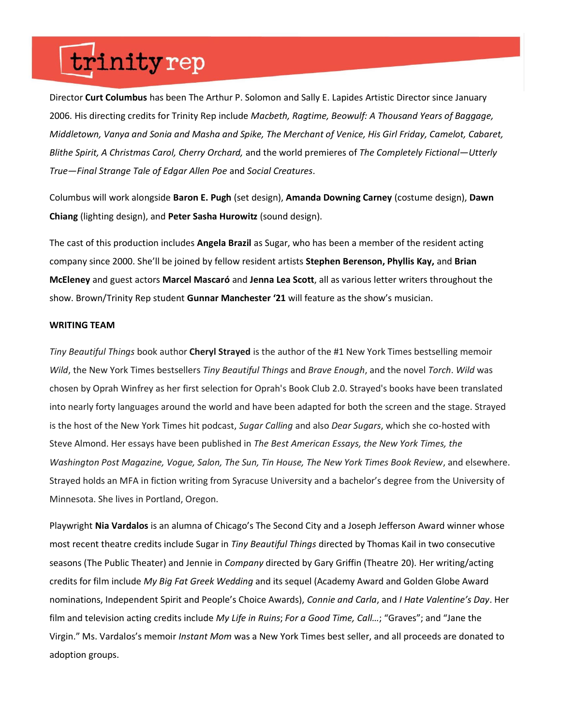Director **Curt Columbus** has been The Arthur P. Solomon and Sally E. Lapides Artistic Director since January 2006. His directing credits for Trinity Rep include *Macbeth, Ragtime, Beowulf: A Thousand Years of Baggage, Middletown, Vanya and Sonia and Masha and Spike, The Merchant of Venice, His Girl Friday, Camelot, Cabaret, Blithe Spirit, A Christmas Carol, Cherry Orchard,* and the world premieres of *The Completely Fictional—Utterly True—Final Strange Tale of Edgar Allen Poe* and *Social Creatures*.

Columbus will work alongside **Baron E. Pugh** (set design), **Amanda Downing Carney** (costume design), **Dawn Chiang** (lighting design), and **Peter Sasha Hurowitz** (sound design).

The cast of this production includes **Angela Brazil** as Sugar, who has been a member of the resident acting company since 2000. She'll be joined by fellow resident artists **Stephen Berenson, Phyllis Kay,** and **Brian McEleney** and guest actors **Marcel Mascaró** and **Jenna Lea Scott**, all as various letter writers throughout the show. Brown/Trinity Rep student **Gunnar Manchester '21** will feature as the show's musician.

#### **WRITING TEAM**

*Tiny Beautiful Things* book author **Cheryl Strayed** is the author of the #1 New York Times bestselling memoir *Wild*, the New York Times bestsellers *Tiny Beautiful Things* and *Brave Enough*, and the novel *Torch*. *Wild* was chosen by Oprah Winfrey as her first selection for Oprah's Book Club 2.0. Strayed's books have been translated into nearly forty languages around the world and have been adapted for both the screen and the stage. Strayed is the host of the New York Times hit podcast, *Sugar Calling* and also *Dear Sugars*, which she co-hosted with Steve Almond. Her essays have been published in *The Best American Essays, the New York Times, the Washington Post Magazine, Vogue, Salon, The Sun, Tin House, The New York Times Book Review*, and elsewhere. Strayed holds an MFA in fiction writing from Syracuse University and a bachelor's degree from the University of Minnesota. She lives in Portland, Oregon.

Playwright **Nia Vardalos** is an alumna of Chicago's The Second City and a Joseph Jefferson Award winner whose most recent theatre credits include Sugar in *Tiny Beautiful Things* directed by Thomas Kail in two consecutive seasons (The Public Theater) and Jennie in *Company* directed by Gary Griffin (Theatre 20). Her writing/acting credits for film include *My Big Fat Greek Wedding* and its sequel (Academy Award and Golden Globe Award nominations, Independent Spirit and People's Choice Awards), *Connie and Carla*, and *I Hate Valentine's Day*. Her film and television acting credits include *My Life in Ruins*; *For a Good Time, Call…*; "Graves"; and "Jane the Virgin." Ms. Vardalos's memoir *Instant Mom* was a New York Times best seller, and all proceeds are donated to adoption groups.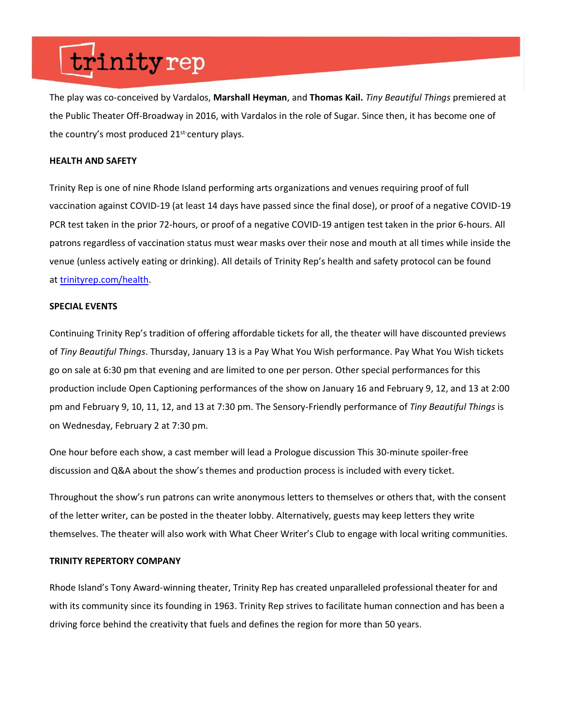The play was co-conceived by Vardalos, **Marshall Heyman**, and **Thomas Kail.** *Tiny Beautiful Things* premiered at the Public Theater Off-Broadway in 2016, with Vardalos in the role of Sugar. Since then, it has become one of the country's most produced 21st-century plays.

#### **HEALTH AND SAFETY**

Trinity Rep is one of nine Rhode Island performing arts organizations and venues requiring proof of full vaccination against COVID-19 (at least 14 days have passed since the final dose), or proof of a negative COVID-19 PCR test taken in the prior 72-hours, or proof of a negative COVID-19 antigen test taken in the prior 6-hours. All patrons regardless of vaccination status must wear masks over their nose and mouth at all times while inside the venue (unless actively eating or drinking). All details of Trinity Rep's health and safety protocol can be found at [trinityrep.com/health.](http://www.trinityrep.com/health)

#### **SPECIAL EVENTS**

Continuing Trinity Rep's tradition of offering affordable tickets for all, the theater will have discounted previews of *Tiny Beautiful Things*. Thursday, January 13 is a Pay What You Wish performance. Pay What You Wish tickets go on sale at 6:30 pm that evening and are limited to one per person. Other special performances for this production include Open Captioning performances of the show on January 16 and February 9, 12, and 13 at 2:00 pm and February 9, 10, 11, 12, and 13 at 7:30 pm. The Sensory-Friendly performance of *Tiny Beautiful Things* is on Wednesday, February 2 at 7:30 pm.

One hour before each show, a cast member will lead a Prologue discussion This 30-minute spoiler-free discussion and Q&A about the show's themes and production process is included with every ticket.

Throughout the show's run patrons can write anonymous letters to themselves or others that, with the consent of the letter writer, can be posted in the theater lobby. Alternatively, guests may keep letters they write themselves. The theater will also work with What Cheer Writer's Club to engage with local writing communities.

#### **TRINITY REPERTORY COMPANY**

Rhode Island's Tony Award-winning theater, Trinity Rep has created unparalleled professional theater for and with its community since its founding in 1963. Trinity Rep strives to facilitate human connection and has been a driving force behind the creativity that fuels and defines the region for more than 50 years.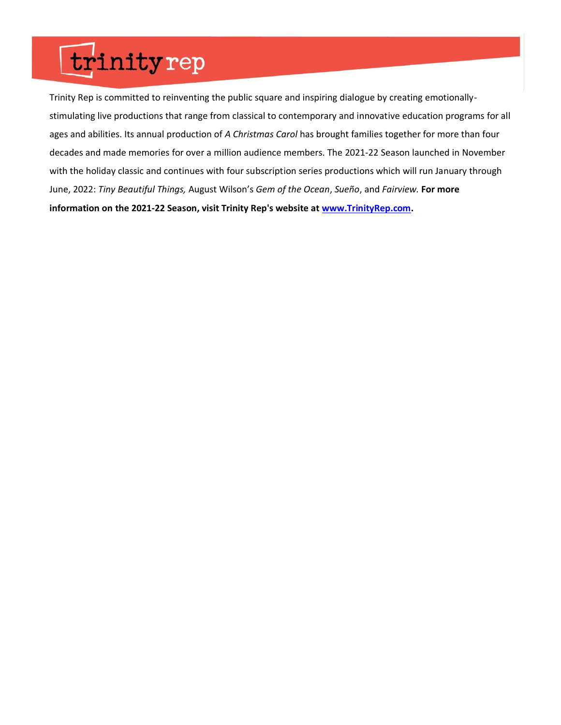Trinity Rep is committed to reinventing the public square and inspiring dialogue by creating emotionallystimulating live productions that range from classical to contemporary and innovative education programs for all ages and abilities. Its annual production of *A Christmas Carol* has brought families together for more than four decades and made memories for over a million audience members. The 2021-22 Season launched in November with the holiday classic and continues with four subscription series productions which will run January through June, 2022: *Tiny Beautiful Things,* August Wilson's *Gem of the Ocean*, *Sueño*, and *Fairview.* **For more information on the 2021-22 Season, visit Trinity Rep's website at [www.TrinityRep.com.](http://www.trinityrep.com/)**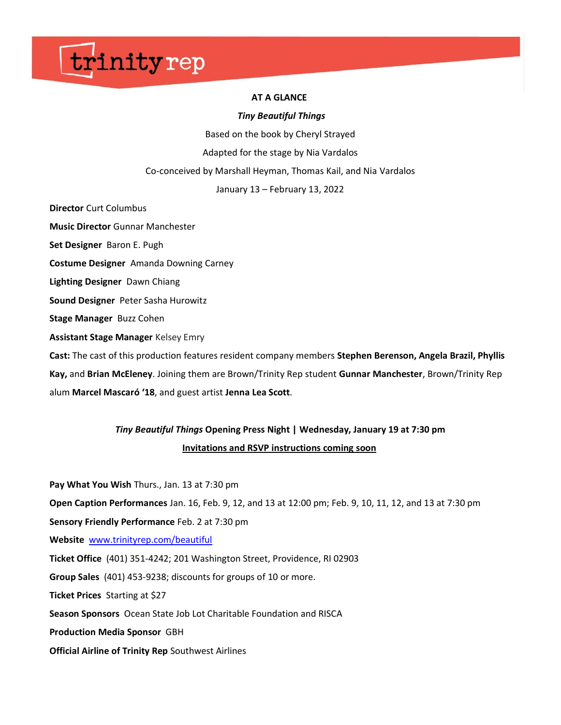#### **AT A GLANCE**

#### *Tiny Beautiful Things*

Based on the book by Cheryl Strayed

Adapted for the stage by Nia Vardalos

Co-conceived by Marshall Heyman, Thomas Kail, and Nia Vardalos

January 13 – February 13, 2022

**Director** Curt Columbus

**Music Director** Gunnar Manchester

**Set Designer** Baron E. Pugh

**Costume Designer** Amanda Downing Carney

**Lighting Designer** Dawn Chiang

**Sound Designer** Peter Sasha Hurowitz

**Stage Manager** Buzz Cohen

**Assistant Stage Manager** Kelsey Emry

**Cast:** The cast of this production features resident company members **Stephen Berenson, Angela Brazil, Phyllis Kay,** and **Brian McEleney**. Joining them are Brown/Trinity Rep student **Gunnar Manchester**, Brown/Trinity Rep alum **Marcel Mascaró '18**, and guest artist **Jenna Lea Scott**.

### *Tiny Beautiful Things* **Opening Press Night | Wednesday, January 19 at 7:30 pm Invitations and RSVP instructions coming soon**

**Pay What You Wish** Thurs., Jan. 13 at 7:30 pm **Open Caption Performances** Jan. 16, Feb. 9, 12, and 13 at 12:00 pm; Feb. 9, 10, 11, 12, and 13 at 7:30 pm **Sensory Friendly Performance** Feb. 2 at 7:30 pm **Website** [www.trinityrep.com/beautiful](http://www.trinityrep.com/beautiful) **Ticket Office** (401) 351-4242; 201 Washington Street, Providence, RI 02903 **Group Sales** (401) 453-9238; discounts for groups of 10 or more. **Ticket Prices** Starting at \$27 **Season Sponsors** Ocean State Job Lot Charitable Foundation and RISCA **Production Media Sponsor** GBH

**Official Airline of Trinity Rep** Southwest Airlines